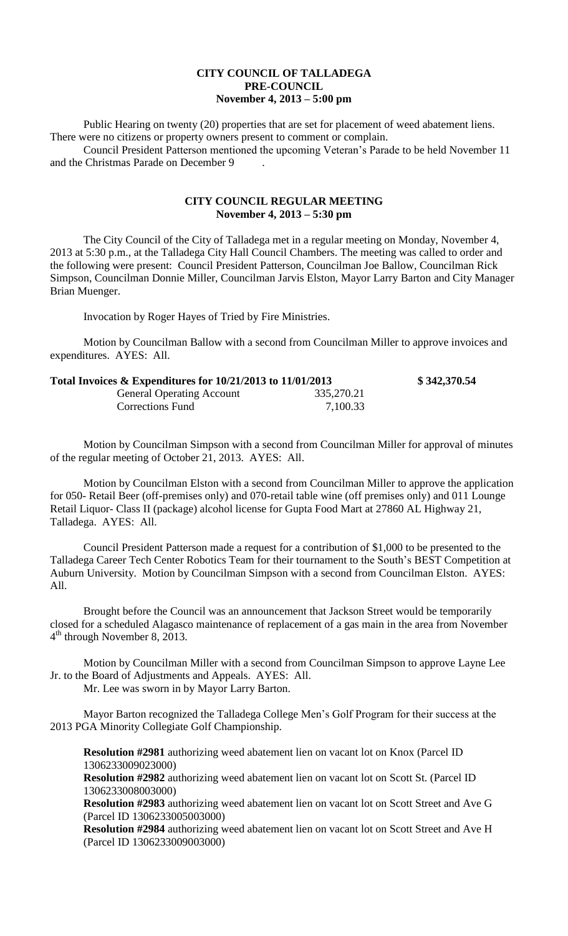## **CITY COUNCIL OF TALLADEGA PRE-COUNCIL November 4, 2013 – 5:00 pm**

Public Hearing on twenty (20) properties that are set for placement of weed abatement liens. There were no citizens or property owners present to comment or complain.

Council President Patterson mentioned the upcoming Veteran's Parade to be held November 11 and the Christmas Parade on December 9 .

## **CITY COUNCIL REGULAR MEETING November 4, 2013 – 5:30 pm**

The City Council of the City of Talladega met in a regular meeting on Monday, November 4, 2013 at 5:30 p.m., at the Talladega City Hall Council Chambers. The meeting was called to order and the following were present: Council President Patterson, Councilman Joe Ballow, Councilman Rick Simpson, Councilman Donnie Miller, Councilman Jarvis Elston, Mayor Larry Barton and City Manager Brian Muenger.

Invocation by Roger Hayes of Tried by Fire Ministries.

Motion by Councilman Ballow with a second from Councilman Miller to approve invoices and expenditures. AYES: All.

| Total Invoices $\&$ Expenditures for 10/21/2013 to 11/01/2013 |            | \$342,370.54 |
|---------------------------------------------------------------|------------|--------------|
| <b>General Operating Account</b>                              | 335,270.21 |              |
| Corrections Fund                                              | 7,100.33   |              |

Motion by Councilman Simpson with a second from Councilman Miller for approval of minutes of the regular meeting of October 21, 2013. AYES: All.

Motion by Councilman Elston with a second from Councilman Miller to approve the application for 050- Retail Beer (off-premises only) and 070-retail table wine (off premises only) and 011 Lounge Retail Liquor- Class II (package) alcohol license for Gupta Food Mart at 27860 AL Highway 21, Talladega. AYES: All.

Council President Patterson made a request for a contribution of \$1,000 to be presented to the Talladega Career Tech Center Robotics Team for their tournament to the South's BEST Competition at Auburn University. Motion by Councilman Simpson with a second from Councilman Elston. AYES: All.

Brought before the Council was an announcement that Jackson Street would be temporarily closed for a scheduled Alagasco maintenance of replacement of a gas main in the area from November 4<sup>th</sup> through November 8, 2013.

Motion by Councilman Miller with a second from Councilman Simpson to approve Layne Lee Jr. to the Board of Adjustments and Appeals. AYES: All. Mr. Lee was sworn in by Mayor Larry Barton.

Mayor Barton recognized the Talladega College Men's Golf Program for their success at the

2013 PGA Minority Collegiate Golf Championship.

**Resolution #2981** authorizing weed abatement lien on vacant lot on Knox (Parcel ID 1306233009023000)

**Resolution #2982** authorizing weed abatement lien on vacant lot on Scott St. (Parcel ID 1306233008003000)

**Resolution #2983** authorizing weed abatement lien on vacant lot on Scott Street and Ave G (Parcel ID 1306233005003000)

**Resolution #2984** authorizing weed abatement lien on vacant lot on Scott Street and Ave H (Parcel ID 1306233009003000)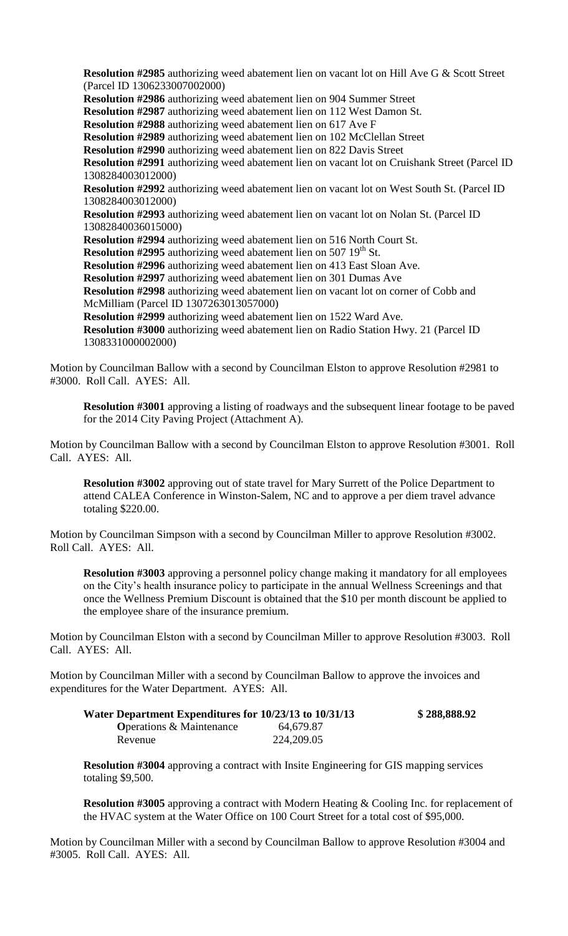**Resolution #2985** authorizing weed abatement lien on vacant lot on Hill Ave G & Scott Street (Parcel ID 1306233007002000) **Resolution #2986** authorizing weed abatement lien on 904 Summer Street **Resolution #2987** authorizing weed abatement lien on 112 West Damon St. **Resolution #2988** authorizing weed abatement lien on 617 Ave F **Resolution #2989** authorizing weed abatement lien on 102 McClellan Street **Resolution #2990** authorizing weed abatement lien on 822 Davis Street **Resolution #2991** authorizing weed abatement lien on vacant lot on Cruishank Street (Parcel ID 1308284003012000) **Resolution #2992** authorizing weed abatement lien on vacant lot on West South St. (Parcel ID 1308284003012000) **Resolution #2993** authorizing weed abatement lien on vacant lot on Nolan St. (Parcel ID 13082840036015000) **Resolution #2994** authorizing weed abatement lien on 516 North Court St. **Resolution #2995** authorizing weed abatement lien on 507 19<sup>th</sup> St. **Resolution #2996** authorizing weed abatement lien on 413 East Sloan Ave. **Resolution #2997** authorizing weed abatement lien on 301 Dumas Ave **Resolution #2998** authorizing weed abatement lien on vacant lot on corner of Cobb and McMilliam (Parcel ID 1307263013057000) **Resolution #2999** authorizing weed abatement lien on 1522 Ward Ave. **Resolution #3000** authorizing weed abatement lien on Radio Station Hwy. 21 (Parcel ID 1308331000002000)

Motion by Councilman Ballow with a second by Councilman Elston to approve Resolution #2981 to #3000. Roll Call. AYES: All.

**Resolution #3001** approving a listing of roadways and the subsequent linear footage to be paved for the 2014 City Paving Project (Attachment A).

Motion by Councilman Ballow with a second by Councilman Elston to approve Resolution #3001. Roll Call. AYES: All.

**Resolution #3002** approving out of state travel for Mary Surrett of the Police Department to attend CALEA Conference in Winston-Salem, NC and to approve a per diem travel advance totaling \$220.00.

Motion by Councilman Simpson with a second by Councilman Miller to approve Resolution #3002. Roll Call. AYES: All.

**Resolution #3003** approving a personnel policy change making it mandatory for all employees on the City's health insurance policy to participate in the annual Wellness Screenings and that once the Wellness Premium Discount is obtained that the \$10 per month discount be applied to the employee share of the insurance premium.

Motion by Councilman Elston with a second by Councilman Miller to approve Resolution #3003. Roll Call. AYES: All.

Motion by Councilman Miller with a second by Councilman Ballow to approve the invoices and expenditures for the Water Department. AYES: All.

| Water Department Expenditures for 10/23/13 to 10/31/13 |             | \$288,888.92 |
|--------------------------------------------------------|-------------|--------------|
| <b>O</b> perations & Maintenance                       | 64.679.87   |              |
| Revenue                                                | 224, 209.05 |              |

**Resolution #3004** approving a contract with Insite Engineering for GIS mapping services totaling \$9,500.

**Resolution #3005** approving a contract with Modern Heating & Cooling Inc. for replacement of the HVAC system at the Water Office on 100 Court Street for a total cost of \$95,000.

Motion by Councilman Miller with a second by Councilman Ballow to approve Resolution #3004 and #3005. Roll Call. AYES: All.